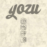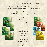#### *YOZU « The Garden of Glittering Memory »*

A game of observation, deduction and memory. For 3 to 6 players, ages 8 and up, 30 minutes duration.

### **COMPONENTS** 32 YOZU cards consisting of 4 animals:



The Panda (peace) The Carp (abundance) The Dragonfly (grace) The Tiger (strength)

> in the 4 seasons: Spring (green) Summer (Yellow) Fall (Red) Winter (Blue).

16 different cards, each card in duplicate.

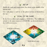## **SET UP**

Shuffle the cards and create a deck, face down, in the middle of the playing area.

Give each player a card he or she places in front of themselves, face up.

# **GOAL OF THE GAME**

Be the first to collect and complete a «YOZUKA»: The 4 different animals in the same season or a «YOZUMI»: an identical animal in the 4 different seasons.

2

YOZUKA of Winter

YOZUMI of Carps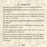# **GAME PLAY**

Randomly determine who goes first. He or she will be the Oracle.

**The Oracle draws the first two cards** from the deck and consults them secretly.

If the Oracle draws two strictly identical cards (the same animal in the same season), put them back in the deck, shuffle the deck again and draw two new cards.

#### **The other players have to guess one of the two cards the Oracle has in hand.**

The player sitting to the left of the Oracle makes a first guess, made up of one animal and one season:

1 - If the proposal corresponds exactly to one of the two cards, the Oracle gives that card to the player.

The winner can then put it in front of him or herself, or exchange it with a card already in front of another player. Then, the Oracle keeps the second card in front of him or herself, without possibility of exchange.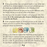2 - If the proposal does not correspond exactly to one of the two cards but if one element (animal or season) is nevertheless present, the Oracle has to indicate to all players the element present.

If both proposed elements are present but on two different cards, the Oracle only has to reveal one of his or her choice.

It is then up to the next player to make a new proposal, with a limitation: **he or she cannot guess the element which has just been revealed by the Oracle**.

3 - If the proposal contains no element present on the cards, the Oracle announces it and the following player clockwise can make a proposal without any limitation.



As long as one of the two cards of the Oracle has not been guessed, the other players continue to make proposals in turn. Once one of the two cards is guessed and the other is kept by the Oracle, go to the next round, the player sitting on the left of the Oracle becomes the new Oracle and draws two new cards from the deck.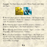**Example** : The Oracle draws the cards « Winter Panda » and « Summer Tiger ».



1. The first player guesses « Summer Panda », the Oracle has the choice to announce « Panda » or « Summer », both present on his cards. He announces « Summer ».

**2.** The following player cannot therefore propose « Summer », so proposes « Spring Tiger ». The Oracle announces « Tiger ».

3.The following player cannot propose « Tiger », so tries « Fall Dragonfly ». The Oracle answers « Nothing ».

4.The next player announces « Summer Tiger ». The Oracle gives it to the winner who can keep it or exchange it with any card in front of another player. The Oracle then keeps the « Winter Panda » with no possibility of exchange.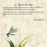### **END OF THE GAME**

Rounds continue until a player manages to collect a YOZUKA or a YOZUMI, and he or she immediately wins the game.

Tradition dictates that we must play several games in a row, and a player must win twice in order to become a true...

 $\epsilon$ 

**...Master of Yozu.**